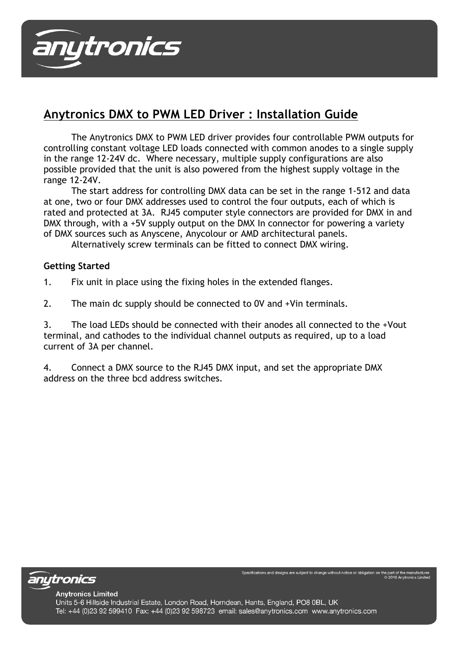

# **Anytronics DMX to PWM LED Driver : Installation Guide**

The Anytronics DMX to PWM LED driver provides four controllable PWM outputs for controlling constant voltage LED loads connected with common anodes to a single supply in the range 12-24V dc. Where necessary, multiple supply configurations are also possible provided that the unit is also powered from the highest supply voltage in the range 12-24V.

The start address for controlling DMX data can be set in the range 1-512 and data at one, two or four DMX addresses used to control the four outputs, each of which is rated and protected at 3A. RJ45 computer style connectors are provided for DMX in and DMX through, with a +5V supply output on the DMX In connector for powering a variety of DMX sources such as Anyscene, Anycolour or AMD architectural panels.

Alternatively screw terminals can be fitted to connect DMX wiring.

## **Getting Started**

- 1. Fix unit in place using the fixing holes in the extended flanges.
- 2. The main dc supply should be connected to 0V and +Vin terminals.

3. The load LEDs should be connected with their anodes all connected to the +Vout terminal, and cathodes to the individual channel outputs as required, up to a load current of 3A per channel.

4. Connect a DMX source to the RJ45 DMX input, and set the appropriate DMX address on the three bcd address switches.

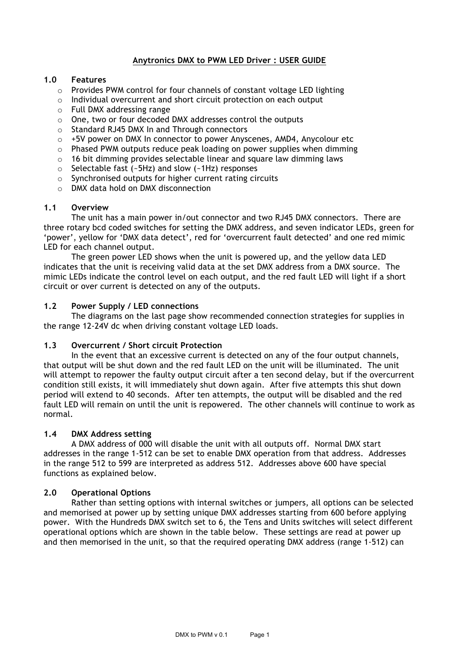## **Anytronics DMX to PWM LED Driver : USER GUIDE**

### **1.0 Features**

- o Provides PWM control for four channels of constant voltage LED lighting
- o Individual overcurrent and short circuit protection on each output
- o Full DMX addressing range
- o One, two or four decoded DMX addresses control the outputs
- o Standard RJ45 DMX In and Through connectors
- $\circ$  +5V power on DMX In connector to power Anyscenes, AMD4, Anycolour etc
- $\circ$  Phased PWM outputs reduce peak loading on power supplies when dimming
- $\circ$  16 bit dimming provides selectable linear and square law dimming laws
- o Selectable fast (~5Hz) and slow (~1Hz) responses
- o Synchronised outputs for higher current rating circuits
- o DMX data hold on DMX disconnection

#### **1.1 Overview**

The unit has a main power in/out connector and two RJ45 DMX connectors. There are three rotary bcd coded switches for setting the DMX address, and seven indicator LEDs, green for 'power', yellow for 'DMX data detect', red for 'overcurrent fault detected' and one red mimic LED for each channel output.

The green power LED shows when the unit is powered up, and the yellow data LED indicates that the unit is receiving valid data at the set DMX address from a DMX source. The mimic LEDs indicate the control level on each output, and the red fault LED will light if a short circuit or over current is detected on any of the outputs.

#### **1.2 Power Supply / LED connections**

The diagrams on the last page show recommended connection strategies for supplies in the range 12-24V dc when driving constant voltage LED loads.

#### **1.3 Overcurrent / Short circuit Protection**

In the event that an excessive current is detected on any of the four output channels, that output will be shut down and the red fault LED on the unit will be illuminated. The unit will attempt to repower the faulty output circuit after a ten second delay, but if the overcurrent condition still exists, it will immediately shut down again. After five attempts this shut down period will extend to 40 seconds. After ten attempts, the output will be disabled and the red fault LED will remain on until the unit is repowered. The other channels will continue to work as normal.

## **1.4 DMX Address setting**

A DMX address of 000 will disable the unit with all outputs off. Normal DMX start addresses in the range 1-512 can be set to enable DMX operation from that address. Addresses in the range 512 to 599 are interpreted as address 512. Addresses above 600 have special functions as explained below.

## **2.0 Operational Options**

Rather than setting options with internal switches or jumpers, all options can be selected and memorised at power up by setting unique DMX addresses starting from 600 before applying power. With the Hundreds DMX switch set to 6, the Tens and Units switches will select different operational options which are shown in the table below. These settings are read at power up and then memorised in the unit, so that the required operating DMX address (range 1-512) can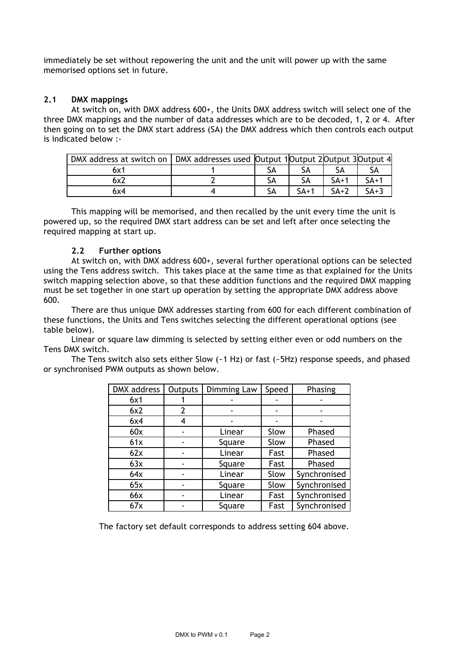immediately be set without repowering the unit and the unit will power up with the same memorised options set in future.

#### **2.1 DMX mappings**

 At switch on, with DMX address 600+, the Units DMX address switch will select one of the three DMX mappings and the number of data addresses which are to be decoded, 1, 2 or 4. After then going on to set the DMX start address (SA) the DMX address which then controls each output is indicated below :-

| DMX address at switch on   DMX addresses used   Output 1  Output 2  Output 3  Output 4 |  |        |        |        |
|----------------------------------------------------------------------------------------|--|--------|--------|--------|
| 6x1                                                                                    |  |        |        |        |
|                                                                                        |  |        | $SA+1$ | $SA+1$ |
| 6x4                                                                                    |  | $SA+1$ | $SA+2$ | $SA+3$ |

This mapping will be memorised, and then recalled by the unit every time the unit is powered up, so the required DMX start address can be set and left after once selecting the required mapping at start up.

## **2.2 Further options**

At switch on, with DMX address 600+, several further operational options can be selected using the Tens address switch. This takes place at the same time as that explained for the Units switch mapping selection above, so that these addition functions and the required DMX mapping must be set together in one start up operation by setting the appropriate DMX address above 600.

There are thus unique DMX addresses starting from 600 for each different combination of these functions, the Units and Tens switches selecting the different operational options (see table below).

Linear or square law dimming is selected by setting either even or odd numbers on the Tens DMX switch.

The Tens switch also sets either Slow (~1 Hz) or fast (~5Hz) response speeds, and phased or synchronised PWM outputs as shown below.

| DMX address | <b>Outputs</b> | Dimming Law | Speed | Phasing      |  |
|-------------|----------------|-------------|-------|--------------|--|
| 6x1         |                |             |       |              |  |
| 6x2         | 2              |             |       |              |  |
| 6x4         |                |             |       |              |  |
| 60x         |                | Linear      | Slow  | Phased       |  |
| 61x         |                | Square      | Slow  | Phased       |  |
| 62x         |                | Linear      | Fast  | Phased       |  |
| 63x         |                | Square      | Fast  | Phased       |  |
| 64x         |                | Linear      | Slow  | Synchronised |  |
| 65x         |                | Square      | Slow  | Synchronised |  |
| 66x         |                | Linear      | Fast  | Synchronised |  |
| 67x         |                | Square      | Fast  | Synchronised |  |

The factory set default corresponds to address setting 604 above.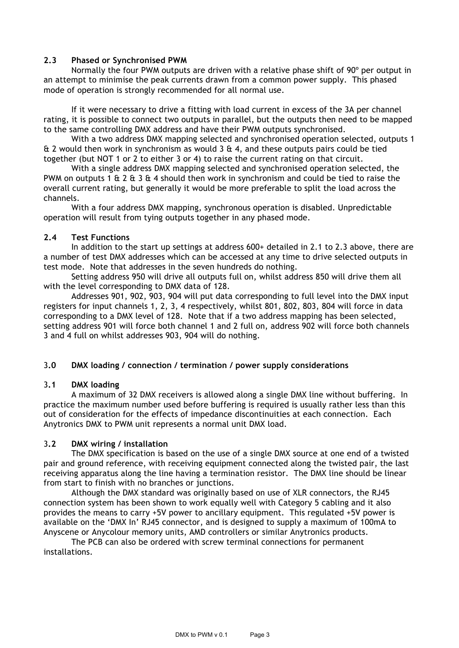## **2.3 Phased or Synchronised PWM**

Normally the four PWM outputs are driven with a relative phase shift of 90º per output in an attempt to minimise the peak currents drawn from a common power supply. This phased mode of operation is strongly recommended for all normal use.

If it were necessary to drive a fitting with load current in excess of the 3A per channel rating, it is possible to connect two outputs in parallel, but the outputs then need to be mapped to the same controlling DMX address and have their PWM outputs synchronised.

With a two address DMX mapping selected and synchronised operation selected, outputs 1 & 2 would then work in synchronism as would 3 & 4, and these outputs pairs could be tied together (but NOT 1 or 2 to either 3 or 4) to raise the current rating on that circuit.

With a single address DMX mapping selected and synchronised operation selected, the PWM on outputs 1 & 2 & 3 & 4 should then work in synchronism and could be tied to raise the overall current rating, but generally it would be more preferable to split the load across the channels.

With a four address DMX mapping, synchronous operation is disabled. Unpredictable operation will result from tying outputs together in any phased mode.

#### **2.4 Test Functions**

In addition to the start up settings at address 600+ detailed in 2.1 to 2.3 above, there are a number of test DMX addresses which can be accessed at any time to drive selected outputs in test mode. Note that addresses in the seven hundreds do nothing.

Setting address 950 will drive all outputs full on, whilst address 850 will drive them all with the level corresponding to DMX data of 128.

Addresses 901, 902, 903, 904 will put data corresponding to full level into the DMX input registers for input channels 1, 2, 3, 4 respectively, whilst 801, 802, 803, 804 will force in data corresponding to a DMX level of 128. Note that if a two address mapping has been selected, setting address 901 will force both channel 1 and 2 full on, address 902 will force both channels 3 and 4 full on whilst addresses 903, 904 will do nothing.

## 3**.0 DMX loading / connection / termination / power supply considerations**

#### 3**.1 DMX loading**

A maximum of 32 DMX receivers is allowed along a single DMX line without buffering. In practice the maximum number used before buffering is required is usually rather less than this out of consideration for the effects of impedance discontinuities at each connection. Each Anytronics DMX to PWM unit represents a normal unit DMX load.

#### 3**.2 DMX wiring / installation**

The DMX specification is based on the use of a single DMX source at one end of a twisted pair and ground reference, with receiving equipment connected along the twisted pair, the last receiving apparatus along the line having a termination resistor. The DMX line should be linear from start to finish with no branches or junctions.

Although the DMX standard was originally based on use of XLR connectors, the RJ45 connection system has been shown to work equally well with Category 5 cabling and it also provides the means to carry +5V power to ancillary equipment. This regulated +5V power is available on the 'DMX In' RJ45 connector, and is designed to supply a maximum of 100mA to Anyscene or Anycolour memory units, AMD controllers or similar Anytronics products.

The PCB can also be ordered with screw terminal connections for permanent installations.